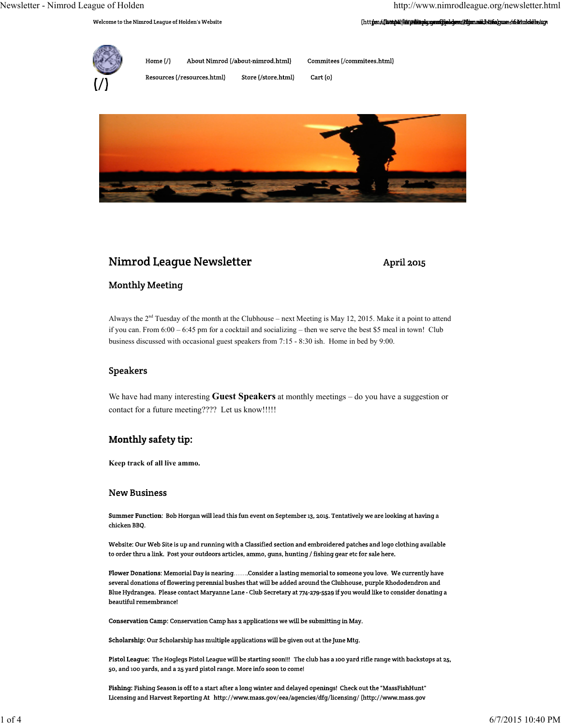(https://bttps//bttp/discription/communities/demo/dimin.nulc/stife/pume.ofi-irindolele/acy

Welcome to the Nimrod League of Holden's Website



Home  $\binom{7}{2}$ About Nimrod (/about-nimrod.html) Commitees (/commitees.html)

Resources (/resources.html)

Store (/store.html) Cart (o)

# Nimrod League Newsletter

# April 2015

# **Monthly Meeting**

Always the  $2<sup>nd</sup>$  Tuesday of the month at the Clubhouse – next Meeting is May 12, 2015. Make it a point to attend if you can. From 6:00 – 6:45 pm for a cocktail and socializing – then we serve the best \$5 meal in town! Club business discussed with occasional guest speakers from 7:15 - 8:30 ish. Home in bed by 9:00.

# **Speakers**

We have had many interesting **Guest Speakers** at monthly meetings – do you have a suggestion or contact for a future meeting???? Let us know!!!!!

# Monthly safety tip:

**Keep track of all live ammo.**

### **New Business**

Summer Function: Bob Horgan will lead this fun event on September 13, 2015. Tentatively we are looking at having a chicken BBQ.

Website: Our Web Site is up and running with a Classified section and embroidered patches and logo clothing available to order thru a link. Post your outdoors articles, ammo, guns, hunting / fishing gear etc for sale here.

Flower Donations: Memorial Day is nearing.......Consider a lasting memorial to someone you love. We currently have several donations of flowering perennial bushes that will be added around the Clubhouse, purple Rhododendron and Blue Hydrangea. Please contact Maryanne Lane - Club Secretary at 774-279-5529 if you would like to consider donating a beautiful remembrance!

Conservation Camp: Conservation Camp has 2 applications we will be submitting in May.

Scholarship: Our Scholarship has multiple applications will be given out at the June Mtg.

Pistol League: The Hoglegs Pistol League will be starting soon!!! The club has a 100 yard rifle range with backstops at 25, 50, and 100 yards, and a 25 yard pistol range. More info soon to come!

Fishing: Fishing Season is off to a start after a long winter and delayed openings! Check out the "MassFishHunt" Licensing and Harvest Reporting At http://www.mass.gov/eea/agencies/dfg/licensing/ (http://www.mass.gov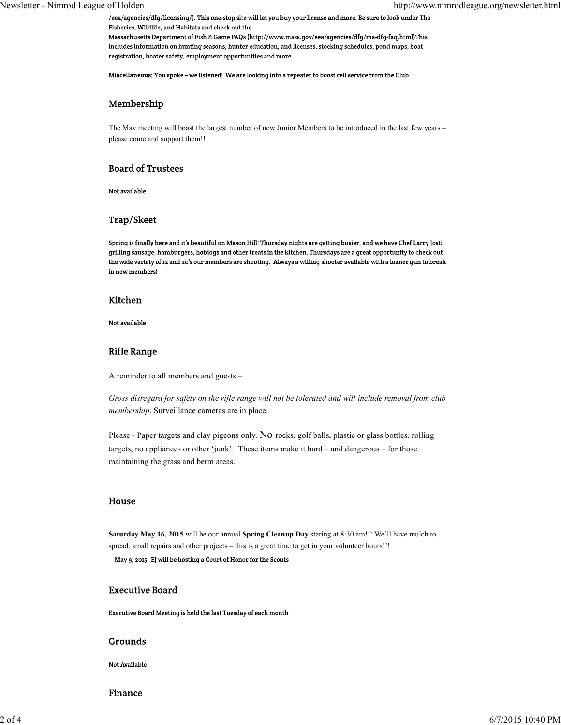/eea/agencies/dfg/licensing/). This one-stop site will let you buy your license and more. Be sure to look under The Fisheries, Wildlife, and Habitats and check out the

Massachusetts Department of Fish & Game FAQs (http://www.mass.gov/eea/agencies/dfg/ma-dfg-faq.html)This includes information on hunting seasons, hunter education, and licenses, stocking schedules, pond maps, boat registration, boater safety, employment opportunities and more.

Miscellaneous: You spoke – we listened! We are looking into a repeater to boost cell service from the Club

## Membership

The May meeting will boast the largest number of new Junior Members to be introduced in the last few years – please come and support them!!

## **Board of Trustees**

Not available

# Trap/Skeet

Spring is finally here and it's beautiful on Mason Hill! Thursday nights are getting busier, and we have Chef Larry Josti grilling sausage, hamburgers, hotdogs and other treats in the kitchen. Thursdays are a great opportunity to check out the wide variety of 12 and 20's our members are shooting. Always a willing shooter available with a loaner gun to break in new members!

#### Kitchen

Not available

# **Rifle Range**

A reminder to all members and guests –

*Gross disregard for safety on the rifle range will not be tolerated and will include removal from club membership*. Surveillance cameras are in place.

Please - Paper targets and clay pigeons only. No rocks, golf balls, plastic or glass bottles, rolling targets, no appliances or other 'junk'. These items make it hard – and dangerous – for those maintaining the grass and berm areas.

### House

**Saturday May 16, 2015** will be our annual **Spring Cleanup Day** staring at 8:30 am!!! We'll have mulch to spread, small repairs and other projects – this is a great time to get in your volunteer hours!!!

May 9, 2015 EJ will be hosting a Court of Honor for the Scouts

### **Executive Board**

Executive Board Meeting is held the last Tuesday of each month

### Grounds

Not Available

Finance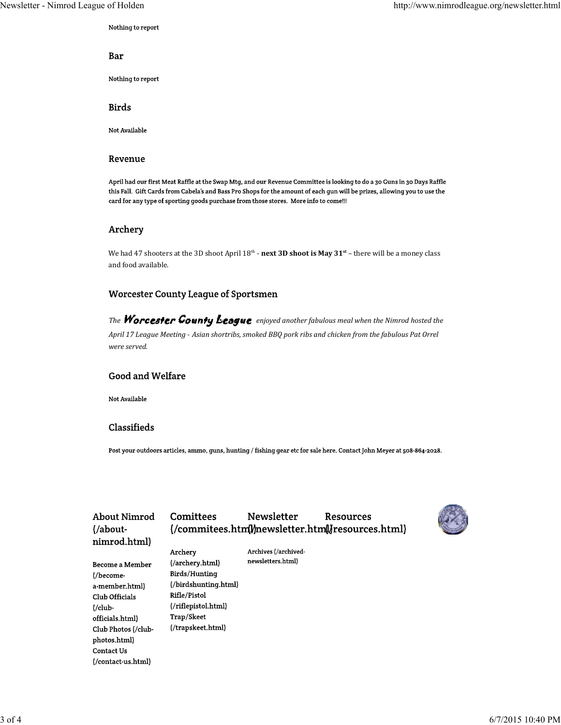# Nothing to report

# Bar

Nothing to report

# **Birds**

Not Available

#### Revenue

April had our first Meat Raffle at the Swap Mtg, and our Revenue Committee is looking to do a 30 Guns in 30 Days Raffle this Fall. Gift Cards from Cabela's and Bass Pro Shops for the amount of each gun will be prizes, allowing you to use the card for any type of sporting goods purchase from those stores. More info to come!!!

# Archery

We had 47 shooters at the 3D shoot April  $18^{\text{th}}$  **- next 3D shoot is May 31**<sup>st</sup> – there will be a money class and food available.

### **Worcester County League of Sportsmen**

*The* Worcester County League enjoyed another fabulous meal when the Nimrod hosted the April 17 League Meeting - Asian shortribs, smoked BBQ pork ribs and chicken from the fabulous Pat Orrel *were served.*

# **Good and Welfare**

Not Available

## Classifieds

Post your outdoors articles, ammo, guns, hunting / fishing gear etc for sale here. Contact John Meyer at 508-864-2028.

| About Nimrod<br>$\frac{1}{2}$ | Comittees            | <b>Newsletter</b>    | Resources<br>(/commitees.html//newsletter.html//resources.html) |  |
|-------------------------------|----------------------|----------------------|-----------------------------------------------------------------|--|
| nimrod.html)                  |                      |                      |                                                                 |  |
|                               | Archery              | Archives (/archived- |                                                                 |  |
| Become a Member               | (/archery.html)      | newsletters.html)    |                                                                 |  |
| (/become-                     | Birds/Hunting        |                      |                                                                 |  |
| a-member.html)                | (/birdshunting.html) |                      |                                                                 |  |
| Club Officials                | Rifle/Pistol         |                      |                                                                 |  |
| $\frac{1}{\text{club}}$       | (/riflepistol.html)  |                      |                                                                 |  |
| officials.html)               | Trap/Skeet           |                      |                                                                 |  |
| Club Photos (/club-           | (/trapskeet.html)    |                      |                                                                 |  |
| photos.html)                  |                      |                      |                                                                 |  |
| Contact Us                    |                      |                      |                                                                 |  |
| (/contact-us.html)            |                      |                      |                                                                 |  |